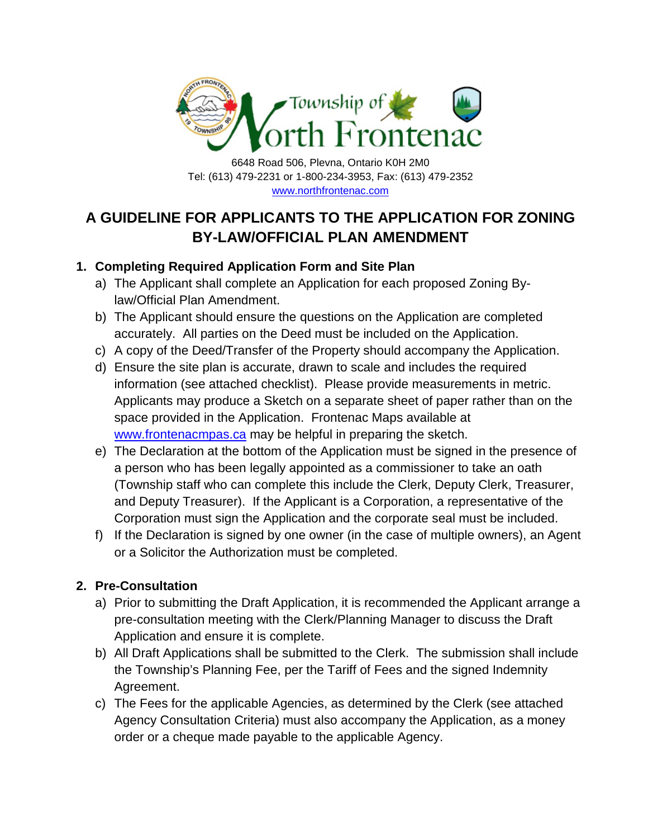

6648 Road 506, Plevna, Ontario K0H 2M0 Tel: (613) 479-2231 or 1-800-234-3953, Fax: (613) 479-2352 <www.northfrontenac.com>

# **A GUIDELINE FOR APPLICANTS TO THE APPLICATION FOR ZONING BY-LAW/OFFICIAL PLAN AMENDMENT**

# **1. Completing Required Application Form and Site Plan**

- a) The Applicant shall complete an Application for each proposed Zoning Bylaw/Official Plan Amendment.
- b) The Applicant should ensure the questions on the Application are completed accurately. All parties on the Deed must be included on the Application.
- c) A copy of the Deed/Transfer of the Property should accompany the Application.
- d) Ensure the site plan is accurate, drawn to scale and includes the required information (see attached checklist). Please provide measurements in metric. Applicants may produce a Sketch on a separate sheet of paper rather than on the space provided in the Application. Frontenac Maps available at <www.frontenacmpas.ca>may be helpful in preparing the sketch.
- e) The Declaration at the bottom of the Application must be signed in the presence of a person who has been legally appointed as a commissioner to take an oath (Township staff who can complete this include the Clerk, Deputy Clerk, Treasurer, and Deputy Treasurer). If the Applicant is a Corporation, a representative of the Corporation must sign the Application and the corporate seal must be included.
- f) If the Declaration is signed by one owner (in the case of multiple owners), an Agent or a Solicitor the Authorization must be completed.

# **2. Pre-Consultation**

- a) Prior to submitting the Draft Application, it is recommended the Applicant arrange a pre-consultation meeting with the Clerk/Planning Manager to discuss the Draft Application and ensure it is complete.
- b) All Draft Applications shall be submitted to the Clerk. The submission shall include the Township's Planning Fee, per the Tariff of Fees and the signed Indemnity Agreement.
- c) The Fees for the applicable Agencies, as determined by the Clerk (see attached Agency Consultation Criteria) must also accompany the Application, as a money order or a cheque made payable to the applicable Agency.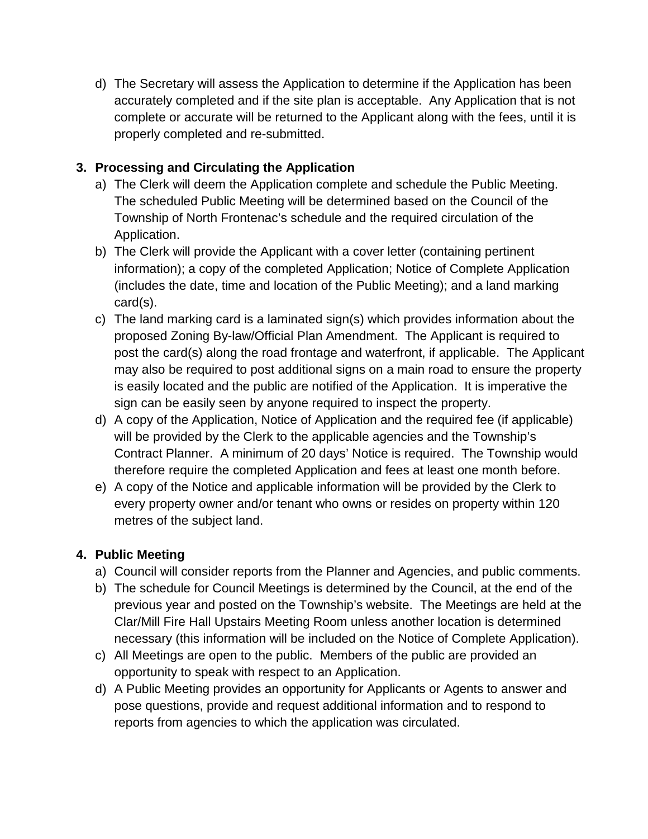d) The Secretary will assess the Application to determine if the Application has been accurately completed and if the site plan is acceptable. Any Application that is not complete or accurate will be returned to the Applicant along with the fees, until it is properly completed and re-submitted.

#### **3. Processing and Circulating the Application**

- a) The Clerk will deem the Application complete and schedule the Public Meeting. The scheduled Public Meeting will be determined based on the Council of the Township of North Frontenac's schedule and the required circulation of the Application.
- b) The Clerk will provide the Applicant with a cover letter (containing pertinent information); a copy of the completed Application; Notice of Complete Application (includes the date, time and location of the Public Meeting); and a land marking card(s).
- c) The land marking card is a laminated sign(s) which provides information about the proposed Zoning By-law/Official Plan Amendment. The Applicant is required to post the card(s) along the road frontage and waterfront, if applicable. The Applicant may also be required to post additional signs on a main road to ensure the property is easily located and the public are notified of the Application. It is imperative the sign can be easily seen by anyone required to inspect the property.
- d) A copy of the Application, Notice of Application and the required fee (if applicable) will be provided by the Clerk to the applicable agencies and the Township's Contract Planner. A minimum of 20 days' Notice is required. The Township would therefore require the completed Application and fees at least one month before.
- e) A copy of the Notice and applicable information will be provided by the Clerk to every property owner and/or tenant who owns or resides on property within 120 metres of the subject land.

# **4. Public Meeting**

- a) Council will consider reports from the Planner and Agencies, and public comments.
- b) The schedule for Council Meetings is determined by the Council, at the end of the previous year and posted on the Township's website. The Meetings are held at the Clar/Mill Fire Hall Upstairs Meeting Room unless another location is determined necessary (this information will be included on the Notice of Complete Application).
- c) All Meetings are open to the public. Members of the public are provided an opportunity to speak with respect to an Application.
- d) A Public Meeting provides an opportunity for Applicants or Agents to answer and pose questions, provide and request additional information and to respond to reports from agencies to which the application was circulated.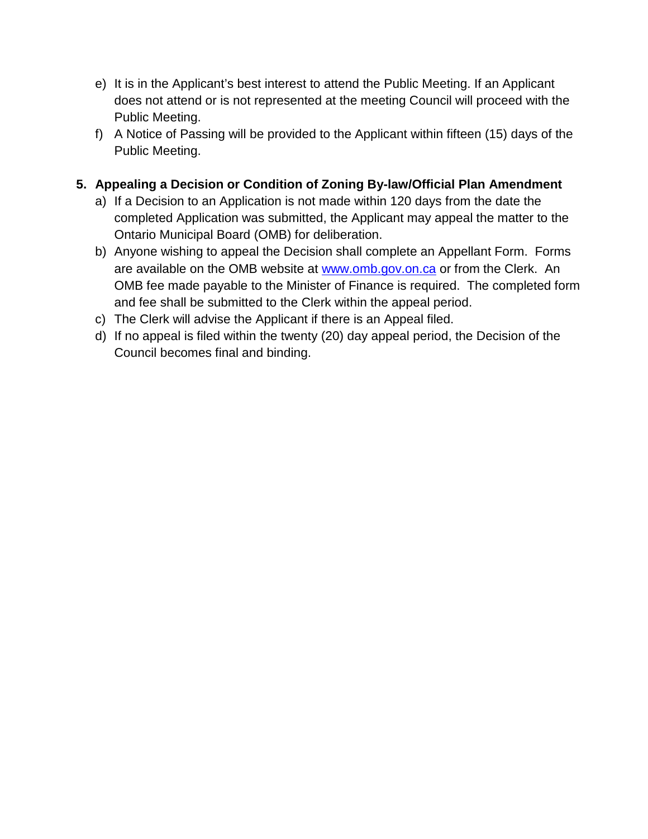- e) It is in the Applicant's best interest to attend the Public Meeting. If an Applicant does not attend or is not represented at the meeting Council will proceed with the Public Meeting.
- f) A Notice of Passing will be provided to the Applicant within fifteen (15) days of the Public Meeting.

# **5. Appealing a Decision or Condition of Zoning By-law/Official Plan Amendment**

- a) If a Decision to an Application is not made within 120 days from the date the completed Application was submitted, the Applicant may appeal the matter to the Ontario Municipal Board (OMB) for deliberation.
- b) Anyone wishing to appeal the Decision shall complete an Appellant Form. Forms are available on the OMB website at<www.omb.gov.on.ca> or from the Clerk. An OMB fee made payable to the Minister of Finance is required. The completed form and fee shall be submitted to the Clerk within the appeal period.
- c) The Clerk will advise the Applicant if there is an Appeal filed.
- d) If no appeal is filed within the twenty (20) day appeal period, the Decision of the Council becomes final and binding.